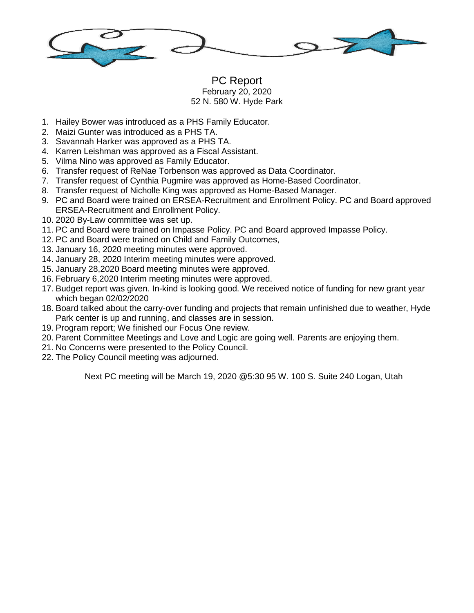

## PC Report February 20, 2020 52 N. 580 W. Hyde Park

- 1. Hailey Bower was introduced as a PHS Family Educator.
- 2. Maizi Gunter was introduced as a PHS TA.
- 3. Savannah Harker was approved as a PHS TA.
- 4. Karren Leishman was approved as a Fiscal Assistant.
- 5. Vilma Nino was approved as Family Educator.
- 6. Transfer request of ReNae Torbenson was approved as Data Coordinator.
- 7. Transfer request of Cynthia Pugmire was approved as Home-Based Coordinator.
- 8. Transfer request of Nicholle King was approved as Home-Based Manager.
- 9. PC and Board were trained on ERSEA-Recruitment and Enrollment Policy. PC and Board approved ERSEA-Recruitment and Enrollment Policy.
- 10. 2020 By-Law committee was set up.
- 11. PC and Board were trained on Impasse Policy. PC and Board approved Impasse Policy.
- 12. PC and Board were trained on Child and Family Outcomes,
- 13. January 16, 2020 meeting minutes were approved.
- 14. January 28, 2020 Interim meeting minutes were approved.
- 15. January 28,2020 Board meeting minutes were approved.
- 16. February 6,2020 Interim meeting minutes were approved.
- 17. Budget report was given. In-kind is looking good. We received notice of funding for new grant year which began 02/02/2020
- 18. Board talked about the carry-over funding and projects that remain unfinished due to weather, Hyde Park center is up and running, and classes are in session.
- 19. Program report; We finished our Focus One review.
- 20. Parent Committee Meetings and Love and Logic are going well. Parents are enjoying them.
- 21. No Concerns were presented to the Policy Council.
- 22. The Policy Council meeting was adjourned.

Next PC meeting will be March 19, 2020 @5:30 95 W. 100 S. Suite 240 Logan, Utah